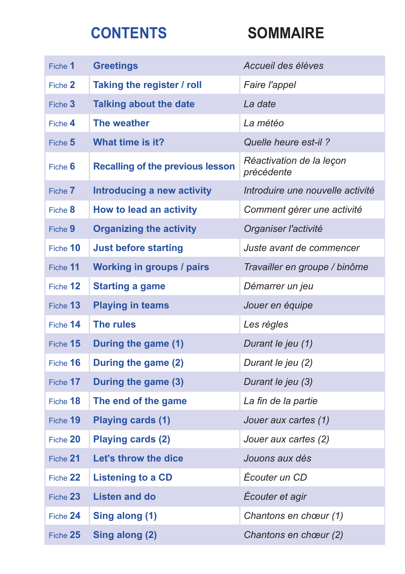## **CONTENTS SOMMAIRE**

| Fiche 1    | <b>Greetings</b>                        | Accueil des élèves                     |
|------------|-----------------------------------------|----------------------------------------|
| Fiche 2    | Taking the register / roll              | Faire l'appel                          |
| Fiche 3    | <b>Talking about the date</b>           | La date                                |
| Fiche 4    | The weather                             | La météo                               |
| Fiche $5$  | What time is it?                        | Quelle heure est-il?                   |
| Fiche 6    | <b>Recalling of the previous lesson</b> | Réactivation de la leçon<br>précédente |
| Fiche 7    | <b>Introducing a new activity</b>       | Introduire une nouvelle activité       |
| Fiche 8    | <b>How to lead an activity</b>          | Comment gérer une activité             |
| Fiche 9    | <b>Organizing the activity</b>          | Organiser l'activité                   |
| Fiche 10   | <b>Just before starting</b>             | Juste avant de commencer               |
| Fiche 11   | <b>Working in groups / pairs</b>        | Travailler en groupe / binôme          |
| Fiche 12   | <b>Starting a game</b>                  | Démarrer un jeu                        |
| Fiche 13   | <b>Playing in teams</b>                 | Jouer en équipe                        |
| Fiche 14   | The rules                               | Les règles                             |
| Fiche 15   | During the game (1)                     | Durant le jeu (1)                      |
| Fiche 16   | During the game (2)                     | Durant le jeu (2)                      |
| Fiche 17   | During the game (3)                     | Durant le jeu (3)                      |
| Fiche 18   | The end of the game                     | La fin de la partie                    |
| Fiche 19   | <b>Playing cards (1)</b>                | Jouer aux cartes (1)                   |
| Fiche 20   | <b>Playing cards (2)</b>                | Jouer aux cartes (2)                   |
| Fiche 21   | Let's throw the dice                    | Jouons aux dés                         |
| Fiche 22   | <b>Listening to a CD</b>                | Écouter un CD                          |
| Fiche 23   | <b>Listen and do</b>                    | Écouter et agir                        |
| Fiche 24   | Sing along (1)                          | Chantons en chœur (1)                  |
| Fiche $25$ | Sing along (2)                          | Chantons en chœur (2)                  |